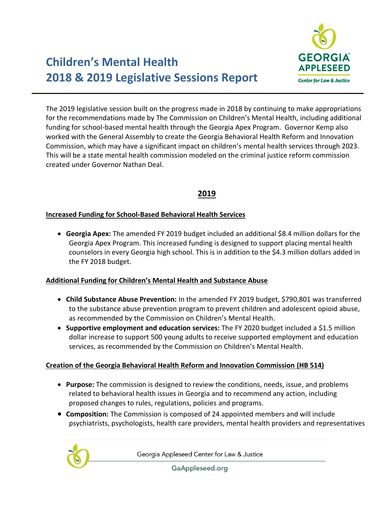

The 2019 legislative session built on the progress made in 2018 by continuing to make appropriations for the recommendations made by The Commission on Children's Mental Health, including additional funding for school-based mental health through the Georgia Apex Program. Governor Kemp also worked with the General Assembly to create the Georgia Behavioral Health Reform and Innovation Commission, which may have a significant impact on children's mental health services through 2023. This will be a state mental health commission modeled on the criminal justice reform commission created under Governor Nathan Deal.

# **2019**

#### **Increased Funding for School-Based Behavioral Health Services**

• **Georgia Apex:** The amended FY 2019 budget included an additional \$8.4 million dollars for the Georgia Apex Program. This increased funding is designed to support placing mental health counselors in every Georgia high school. This is in addition to the \$4.3 million dollars added in the FY 2018 budget.

#### **Additional Funding for Children's Mental Health and Substance Abuse**

- **Child Substance Abuse Prevention:** In the amended FY 2019 budget, \$790,801 was transferred to the substance abuse prevention program to prevent children and adolescent opioid abuse, as recommended by the Commission on Children's Mental Health.
- **Supportive employment and education services:** The FY 2020 budget included a \$1.5 million dollar increase to support 500 young adults to receive supported employment and education services, as recommended by the Commission on Children's Mental Health.

#### **Creation of the Georgia Behavioral Health Reform and Innovation Commission (HB 514)**

- **Purpose:** The commission is designed to review the conditions, needs, issue, and problems related to behavioral health issues in Georgia and to recommend any action, including proposed changes to rules, regulations, policies and programs.
- **Composition:** The Commission is composed of 24 appointed members and will include psychiatrists, psychologists, health care providers, mental health providers and representatives



Georgia Appleseed Center for Law & Justice

GaAppleseed.org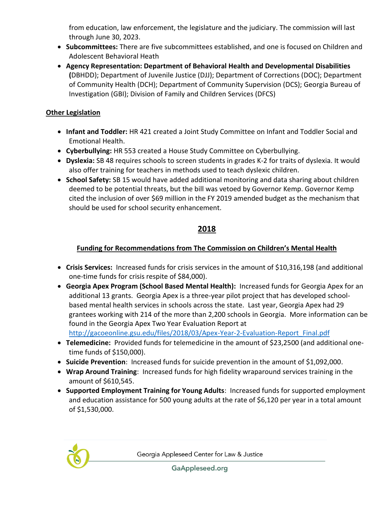from education, law enforcement, the legislature and the judiciary. The commission will last through June 30, 2023.

- **Subcommittees:** There are five subcommittees established, and one is focused on Children and Adolescent Behavioral Heath
- **Agency Representation: Department of Behavioral Health and Developmental Disabilities (**DBHDD); Department of Juvenile Justice (DJJ); Department of Corrections (DOC); Department of Community Health (DCH); Department of Community Supervision (DCS); Georgia Bureau of Investigation (GBI); Division of Family and Children Services (DFCS)

### **Other Legislation**

- **Infant and Toddler:** HR 421 created a Joint Study Committee on Infant and Toddler Social and Emotional Health.
- **Cyberbullying:** HR 553 created a House Study Committee on Cyberbullying.
- **Dyslexia:** SB 48 requires schools to screen students in grades K-2 for traits of dyslexia. It would also offer training for teachers in methods used to teach dyslexic children.
- **School Safety:** SB 15 would have added additional monitoring and data sharing about children deemed to be potential threats, but the bill was vetoed by Governor Kemp. Governor Kemp cited the inclusion of over \$69 million in the FY 2019 amended budget as the mechanism that should be used for school security enhancement.

# **2018**

## **Funding for Recommendations from The Commission on Children's Mental Health**

- **Crisis Services:** Increased funds for crisis services in the amount of \$10,316,198 (and additional one-time funds for crisis respite of \$84,000).
- **Georgia Apex Program (School Based Mental Health):** Increased funds for Georgia Apex for an additional 13 grants. Georgia Apex is a three-year pilot project that has developed schoolbased mental health services in schools across the state. Last year, Georgia Apex had 29 grantees working with 214 of the more than 2,200 schools in Georgia. More information can be found in the Georgia Apex Two Year Evaluation Report at [http://gacoeonline.gsu.edu/files/2018/03/Apex-Year-2-Evaluation-Report\\_Final.pdf](http://gacoeonline.gsu.edu/files/2018/03/Apex-Year-2-Evaluation-Report_Final.pdf)
- **Telemedicine:** Provided funds for telemedicine in the amount of \$23,2500 (and additional onetime funds of \$150,000).
- **Suicide Prevention**: Increased funds for suicide prevention in the amount of \$1,092,000.
- **Wrap Around Training**: Increased funds for high fidelity wraparound services training in the amount of \$610,545.
- **Supported Employment Training for Young Adults**: Increased funds for supported employment and education assistance for 500 young adults at the rate of \$6,120 per year in a total amount of \$1,530,000.



GaAppleseed.org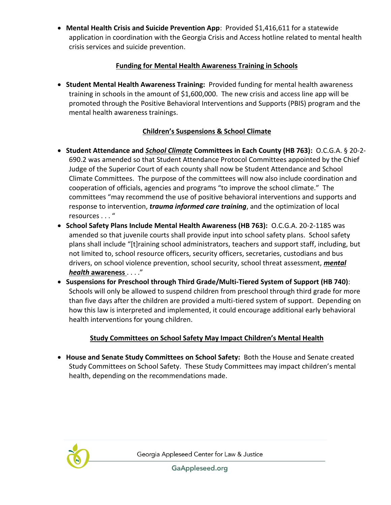• **Mental Health Crisis and Suicide Prevention App**: Provided \$1,416,611 for a statewide application in coordination with the Georgia Crisis and Access hotline related to mental health crisis services and suicide prevention.

### **Funding for Mental Health Awareness Training in Schools**

• **Student Mental Health Awareness Training:** Provided funding for mental health awareness training in schools in the amount of \$1,600,000. The new crisis and access line app will be promoted through the Positive Behavioral Interventions and Supports (PBIS) program and the mental health awareness trainings.

## **Children's Suspensions & School Climate**

- **Student Attendance and** *School Climate* **Committees in Each County (HB 763):** O.C.G.A. § 20-2- 690.2 was amended so that Student Attendance Protocol Committees appointed by the Chief Judge of the Superior Court of each county shall now be Student Attendance and School Climate Committees. The purpose of the committees will now also include coordination and cooperation of officials, agencies and programs "to improve the school climate." The committees "may recommend the use of positive behavioral interventions and supports and response to intervention, *trauma informed care training*, and the optimization of local resources . . . "
- **School Safety Plans Include Mental Health Awareness (HB 763):** O.C.G.A. 20-2-1185 was amended so that juvenile courts shall provide input into school safety plans. School safety plans shall include "[t]raining school administrators, teachers and support staff, including, but not limited to, school resource officers, security officers, secretaries, custodians and bus drivers, on school violence prevention, school security, school threat assessment, *mental health* **awareness** . . . ."
- **Suspensions for Preschool through Third Grade/Multi-Tiered System of Support (HB 740)**: Schools will only be allowed to suspend children from preschool through third grade for more than five days after the children are provided a multi-tiered system of support. Depending on how this law is interpreted and implemented, it could encourage additional early behavioral health interventions for young children.

## **Study Committees on School Safety May Impact Children's Mental Health**

• **House and Senate Study Committees on School Safety:** Both the House and Senate created Study Committees on School Safety. These Study Committees may impact children's mental health, depending on the recommendations made.